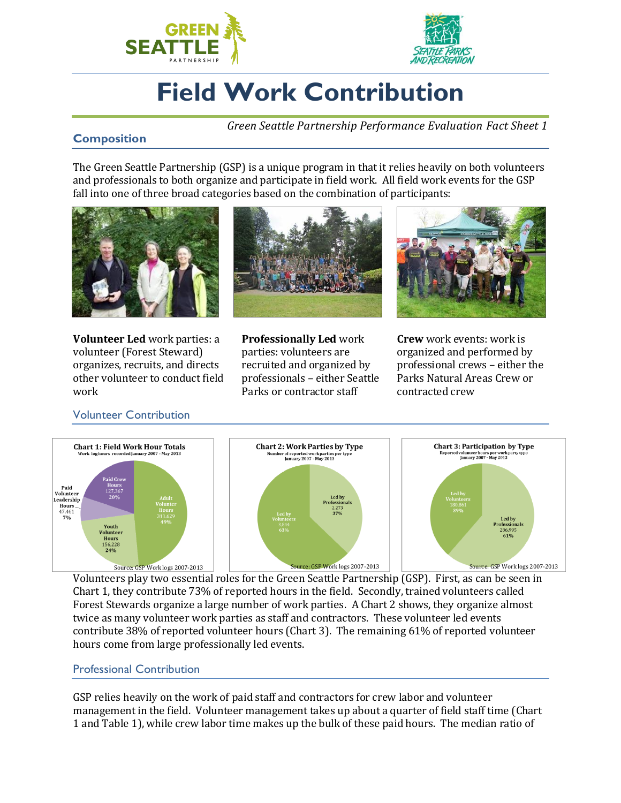



# **Field Work Contribution**

*Green Seattle Partnership Performance Evaluation Fact Sheet 1*

## **Composition**

The Green Seattle Partnership (GSP) is a unique program in that it relies heavily on both volunteers and professionals to both organize and participate in field work. All field work events for the GSP fall into one of three broad categories based on the combination of participants:



**Volunteer Led** work parties: a volunteer (Forest Steward) organizes, recruits, and directs other volunteer to conduct field work



**Professionally Led** work parties: volunteers are recruited and organized by professionals – either Seattle Parks or contractor staff



**Crew** work events: work is organized and performed by professional crews – either the Parks Natural Areas Crew or contracted crew

### Volunteer Contribution





Volunteers play two essential roles for the Green Seattle Partnership (GSP). First, as can be seen in Chart 1, they contribute 73% of reported hours in the field. Secondly, trained volunteers called Forest Stewards organize a large number of work parties. A Chart 2 shows, they organize almost twice as many volunteer work parties as staff and contractors. These volunteer led events contribute 38% of reported volunteer hours (Chart 3). The remaining 61% of reported volunteer hours come from large professionally led events.

### Professional Contribution

GSP relies heavily on the work of paid staff and contractors for crew labor and volunteer management in the field. Volunteer management takes up about a quarter of field staff time (Chart 1 and Table 1), while crew labor time makes up the bulk of these paid hours. The median ratio of